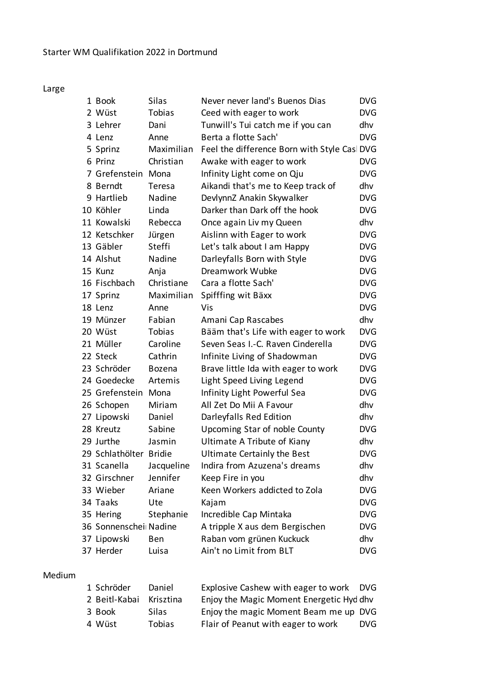Large

| 1 Book                 | Silas         | Never never land's Buenos Dias               | <b>DVG</b> |
|------------------------|---------------|----------------------------------------------|------------|
| 2 Wüst                 | Tobias        | Ceed with eager to work                      | <b>DVG</b> |
| 3 Lehrer               | Dani          | Tunwill's Tui catch me if you can            | dhv        |
| 4 Lenz                 | Anne          | Berta a flotte Sach'                         | <b>DVG</b> |
| 5 Sprinz               | Maximilian    | Feel the difference Born with Style Casl DVG |            |
| 6 Prinz                | Christian     | Awake with eager to work                     | <b>DVG</b> |
| 7 Grefenstein Mona     |               | Infinity Light come on Qju                   | <b>DVG</b> |
| 8 Berndt               | Teresa        | Aikandi that's me to Keep track of           | dhv        |
| 9 Hartlieb             | Nadine        | DevlynnZ Anakin Skywalker                    | <b>DVG</b> |
| 10 Köhler              | Linda         | Darker than Dark off the hook                | <b>DVG</b> |
| 11 Kowalski            | Rebecca       | Once again Liv my Queen                      | dhv        |
| 12 Ketschker           | Jürgen        | Aislinn with Eager to work                   | <b>DVG</b> |
| 13 Gäbler              | Steffi        | Let's talk about I am Happy                  | <b>DVG</b> |
| 14 Alshut              | Nadine        | Darleyfalls Born with Style                  | <b>DVG</b> |
| 15 Kunz                | Anja          | Dreamwork Wubke                              | <b>DVG</b> |
| 16 Fischbach           | Christiane    | Cara a flotte Sach'                          | <b>DVG</b> |
| 17 Sprinz              | Maximilian    | Spifffing wit Bäxx                           | <b>DVG</b> |
| 18 Lenz                | Anne          | Vis                                          | <b>DVG</b> |
| 19 Münzer              | Fabian        | Amani Cap Rascabes                           | dhv        |
| 20 Wüst                | Tobias        | Bääm that's Life with eager to work          | <b>DVG</b> |
| 21 Müller              | Caroline      | Seven Seas I.-C. Raven Cinderella            | <b>DVG</b> |
| 22 Steck               | Cathrin       | Infinite Living of Shadowman                 | <b>DVG</b> |
| 23 Schröder            | <b>Bozena</b> | Brave little Ida with eager to work          | <b>DVG</b> |
| 24 Goedecke            | Artemis       | Light Speed Living Legend                    | <b>DVG</b> |
| 25 Grefenstein Mona    |               | Infinity Light Powerful Sea                  | <b>DVG</b> |
| 26 Schopen             | Miriam        | All Zet Do Mii A Favour                      | dhv        |
| 27 Lipowski            | Daniel        | Darleyfalls Red Edition                      | dhv        |
| 28 Kreutz              | Sabine        | Upcoming Star of noble County                | <b>DVG</b> |
| 29 Jurthe              | Jasmin        | Ultimate A Tribute of Kiany                  | dhv        |
| 29 Schlathölter Bridie |               | <b>Ultimate Certainly the Best</b>           | <b>DVG</b> |
| 31 Scanella            | Jacqueline    | Indira from Azuzena's dreams                 | dhv        |
| 32 Girschner           | Jennifer      | Keep Fire in you                             | dhv        |
| 33 Wieber              | Ariane        | Keen Workers addicted to Zola                | <b>DVG</b> |
| 34 Taaks               | Ute           | Kajam                                        | <b>DVG</b> |
| 35 Hering              | Stephanie     | Incredible Cap Mintaka                       | <b>DVG</b> |
| 36 Sonnenschei Nadine  |               | A tripple X aus dem Bergischen               | <b>DVG</b> |
| 37 Lipowski            | Ben           | Raban vom grünen Kuckuck                     | dhv        |
| 37 Herder              | Luisa         | Ain't no Limit from BLT                      | <b>DVG</b> |

## Medium

| 1 Schröder              | Daniel | Explosive Cashew with eager to work DVG  |            |
|-------------------------|--------|------------------------------------------|------------|
| 2 Beitl-Kabai Krisztina |        | Enjoy the Magic Moment Energetic Hyd dhv |            |
| 3 Book                  | Silas  | Enjoy the magic Moment Beam me up DVG    |            |
| 4 Wüst                  | Tobias | Flair of Peanut with eager to work       | <b>DVG</b> |